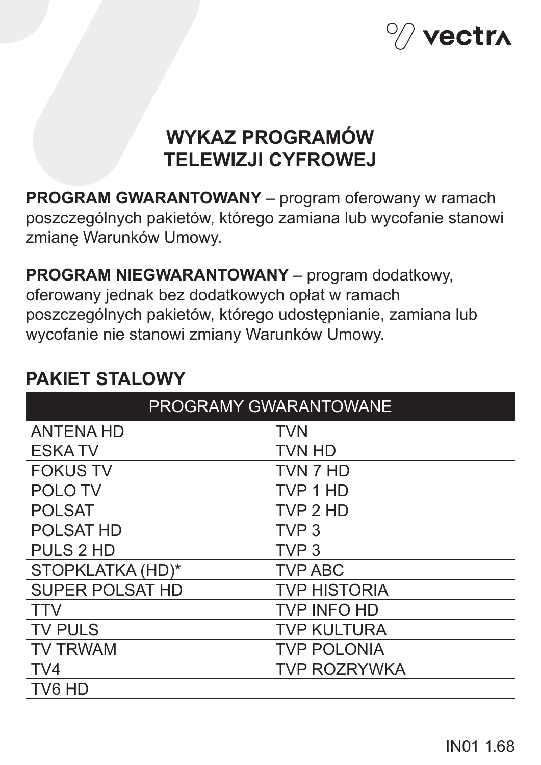

# **WYKAZ PROGRAMÓW TELEWIZJI CYFROWEJ**

**PROGRAM GWARANTOWANY** – program oferowany w ramach poszczególnych pakietów, którego zamiana lub wycofanie stanowi zmianę Warunków Umowy.

**PROGRAM NIEGWARANTOWANY** – program dodatkowy, oferowany jednak bez dodatkowych opłat w ramach poszczególnych pakietów, którego udostępnianie, zamiana lub wycofanie nie stanowi zmiany Warunków Umowy.

| <b>PROGRAMY GWARANTOWANE</b> |                     |
|------------------------------|---------------------|
| <b>ANTENA HD</b>             | <b>TVN</b>          |
| <b>ESKATV</b>                | <b>TVN HD</b>       |
| <b>FOKUS TV</b>              | TVN 7 HD            |
| <b>POLOTV</b>                | TVP 1 HD            |
| <b>POLSAT</b>                | TVP 2 HD            |
| <b>POLSAT HD</b>             | TVP <sub>3</sub>    |
| <b>PULS 2 HD</b>             | TVP <sub>3</sub>    |
| STOPKLATKA (HD)*             | <b>TVP ABC</b>      |
| <b>SUPER POLSAT HD</b>       | <b>TVP HISTORIA</b> |
| <b>TTV</b>                   | <b>TVP INFO HD</b>  |
| <b>TV PULS</b>               | <b>TVP KULTURA</b>  |
| <b>TV TRWAM</b>              | <b>TVP POLONIA</b>  |
| TV4                          | <b>TVP ROZRYWKA</b> |
| TV6 HD                       |                     |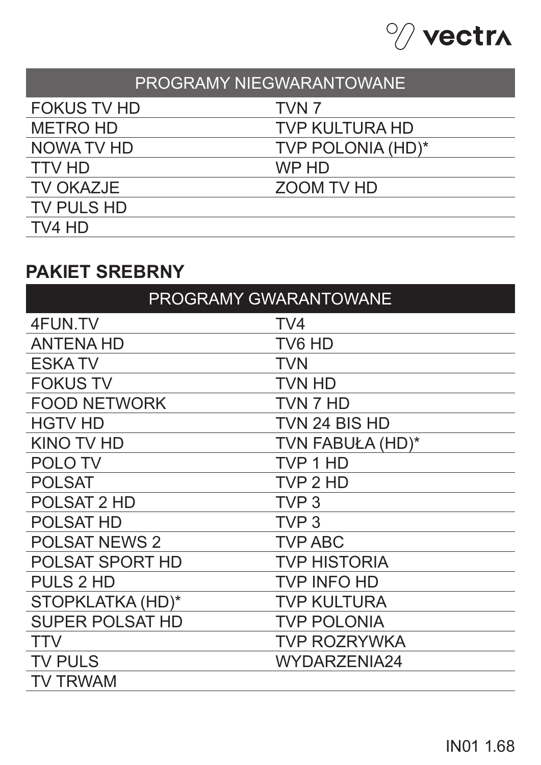

| PROGRAMY NIEGWARANTOWANE |                       |
|--------------------------|-----------------------|
| <b>FOKUS TV HD</b>       | TVN <sub>7</sub>      |
| <b>METRO HD</b>          | <b>TVP KULTURA HD</b> |
| NOWA TV HD               | TVP POLONIA (HD)*     |
| <b>TTV HD</b>            | WP HD                 |
| <b>TV OKAZJE</b>         | <b>ZOOM TV HD</b>     |
| TV PULS HD               |                       |
| TV4 HD                   |                       |

# **PAKIET SREBRNY**

| PROGRAMY GWARANTOWANE  |                     |
|------------------------|---------------------|
| 4FUN.TV                | TV4                 |
| <b>ANTENA HD</b>       | TV6 HD              |
| <b>ESKATV</b>          | <b>TVN</b>          |
| <b>FOKUS TV</b>        | <b>TVN HD</b>       |
| <b>FOOD NETWORK</b>    | TVN 7 HD            |
| <b>HGTV HD</b>         | TVN 24 BIS HD       |
| <b>KINO TV HD</b>      | TVN FABUŁA (HD)*    |
| <b>POLOTV</b>          | TVP 1 HD            |
| <b>POLSAT</b>          | TVP 2 HD            |
| <b>POLSAT 2 HD</b>     | TVP <sub>3</sub>    |
| <b>POLSAT HD</b>       | TVP <sub>3</sub>    |
| <b>POLSAT NEWS 2</b>   | <b>TVP ABC</b>      |
| <b>POLSAT SPORT HD</b> | <b>TVP HISTORIA</b> |
| <b>PULS 2 HD</b>       | <b>TVP INFO HD</b>  |
| STOPKLATKA (HD)*       | <b>TVP KULTURA</b>  |
| <b>SUPER POLSAT HD</b> | <b>TVP POLONIA</b>  |
| <b>TTV</b>             | <b>TVP ROZRYWKA</b> |
| <b>TV PULS</b>         | WYDARZENIA24        |
| TV TRWAM               |                     |
|                        |                     |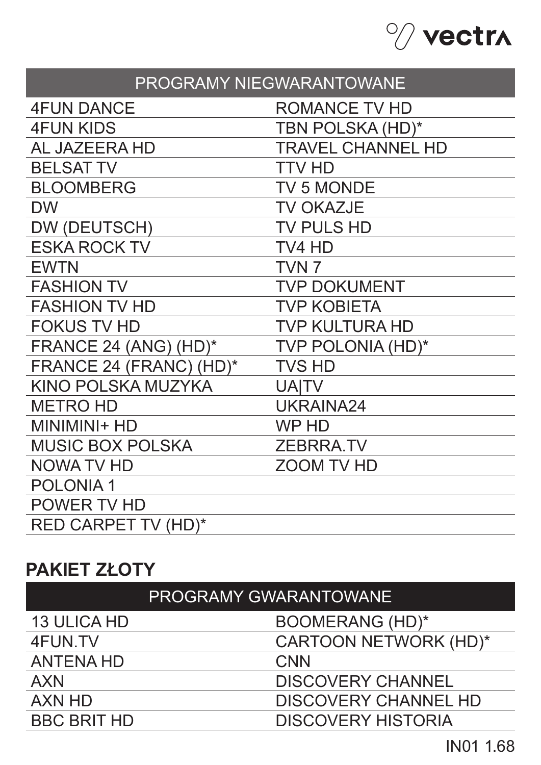

| PROGRAMY NIEGWARANTOWANE   |                          |
|----------------------------|--------------------------|
| <b>4FUN DANCE</b>          | <b>ROMANCE TV HD</b>     |
| <b>4FUN KIDS</b>           | TBN POLSKA (HD)*         |
| <b>AL JAZEERA HD</b>       | <b>TRAVEL CHANNEL HD</b> |
| <b>BELSAT TV</b>           | <b>TTV HD</b>            |
| <b>BLOOMBERG</b>           | <b>TV 5 MONDE</b>        |
| <b>DW</b>                  | <b>TV OKAZJE</b>         |
| DW (DEUTSCH)               | <b>TV PULS HD</b>        |
| <b>ESKA ROCK TV</b>        | TV4 HD                   |
| <b>EWTN</b>                | TVN <sub>7</sub>         |
| <b>FASHION TV</b>          | <b>TVP DOKUMENT</b>      |
| <b>FASHION TV HD</b>       | <b>TVP KOBIETA</b>       |
| <b>FOKUS TV HD</b>         | <b>TVP KULTURA HD</b>    |
| FRANCE 24 (ANG) (HD)*      | <b>TVP POLONIA (HD)*</b> |
| FRANCE 24 (FRANC) (HD)*    | <b>TVS HD</b>            |
| KINO POLSKA MUZYKA         | <b>UAITV</b>             |
| <b>METRO HD</b>            | <b>UKRAINA24</b>         |
| MINIMINI+ HD               | <b>WPHD</b>              |
| <b>MUSIC BOX POLSKA</b>    | <b>ZEBRRA.TV</b>         |
| <b>NOWA TV HD</b>          | <b>ZOOM TV HD</b>        |
| <b>POLONIA1</b>            |                          |
| POWER TV HD                |                          |
| <b>RED CARPET TV (HD)*</b> |                          |

# **PAKIET ZŁOTY**

| <b>PROGRAMY GWARANTOWANE</b> |  |
|------------------------------|--|
|                              |  |
|                              |  |
|                              |  |
|                              |  |
|                              |  |
|                              |  |
|                              |  |

IN01 1.68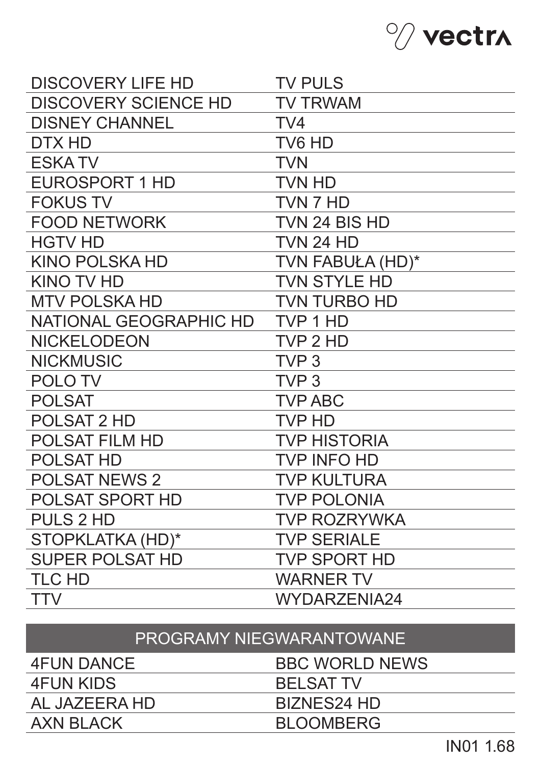

| <b>DISCOVERY LIFE HD</b>    | <b>TV PULS</b>      |
|-----------------------------|---------------------|
| <b>DISCOVERY SCIENCE HD</b> | <b>TV TRWAM</b>     |
| <b>DISNEY CHANNEL</b>       | TV <sub>4</sub>     |
| DTX HD                      | TV6 HD              |
| <b>ESKATV</b>               | <b>TVN</b>          |
| <b>EUROSPORT 1 HD</b>       | <b>TVN HD</b>       |
| <b>FOKUS TV</b>             | TVN 7 HD            |
| <b>FOOD NETWORK</b>         | TVN 24 BIS HD       |
| <b>HGTV HD</b>              | <b>TVN 24 HD</b>    |
| <b>KINO POLSKA HD</b>       | TVN FABUŁA (HD)*    |
| <b>KINO TV HD</b>           | <b>TVN STYLE HD</b> |
| <b>MTV POLSKA HD</b>        | <b>TVN TURBO HD</b> |
| NATIONAL GEOGRAPHIC HD      | TVP 1 HD            |
| <b>NICKELODEON</b>          | TVP 2 HD            |
| <b>NICKMUSIC</b>            | TVP <sub>3</sub>    |
| <b>POLOTV</b>               | TVP <sub>3</sub>    |
| <b>POLSAT</b>               | <b>TVP ABC</b>      |
| <b>POLSAT 2 HD</b>          | <b>TVP HD</b>       |
| <b>POLSAT FILM HD</b>       | <b>TVP HISTORIA</b> |
| <b>POLSAT HD</b>            | <b>TVP INFO HD</b>  |
| <b>POLSAT NEWS 2</b>        | <b>TVP KULTURA</b>  |
| POLSAT SPORT HD             | <b>TVP POLONIA</b>  |
| <b>PULS 2 HD</b>            | <b>TVP ROZRYWKA</b> |
| STOPKLATKA (HD)*            | <b>TVP SERIALE</b>  |
| <b>SUPER POLSAT HD</b>      | <b>TVP SPORT HD</b> |
| <b>TLC HD</b>               | <b>WARNER TV</b>    |
| <b>TTV</b>                  | <b>WYDARZENIA24</b> |

| PROGRAMY NIEGWARANTOWANE' |
|---------------------------|
|                           |

| 4FUN DANCE    | <b>BBC WORLD NEWS</b> |
|---------------|-----------------------|
| 4FUN KIDS     | <b>BELSAT TV</b>      |
| AL JAZEERA HD | BIZNES24 HD           |
| AXN BLACK     | <b>BLOOMBERG</b>      |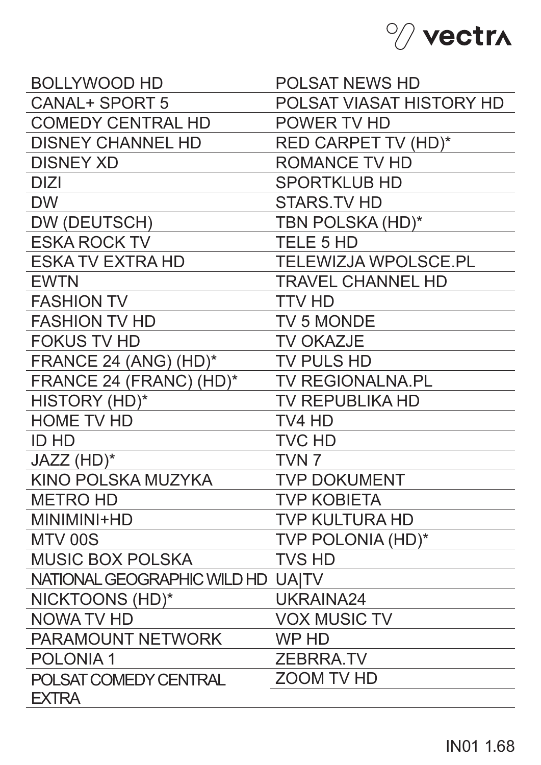

| <b>BOLLYWOOD HD</b>         | <b>POLSAT NEWS HD</b>       |
|-----------------------------|-----------------------------|
| <b>CANAL+ SPORT 5</b>       | POLSAT VIASAT HISTORY HD    |
| <b>COMEDY CENTRAL HD</b>    | POWER TV HD                 |
| <b>DISNEY CHANNEL HD</b>    | <b>RED CARPET TV (HD)*</b>  |
| <b>DISNEY XD</b>            | <b>ROMANCE TV HD</b>        |
| <b>DIZI</b>                 | <b>SPORTKLUB HD</b>         |
| <b>DW</b>                   | <b>STARS.TV HD</b>          |
| DW (DEUTSCH)                | TBN POLSKA (HD)*            |
| <b>ESKA ROCK TV</b>         | <b>TELE 5 HD</b>            |
| <b>ESKA TV EXTRA HD</b>     | <b>TELEWIZJA WPOLSCE.PL</b> |
| <b>EWTN</b>                 | <b>TRAVEL CHANNEL HD</b>    |
| <b>FASHION TV</b>           | <b>TTV HD</b>               |
| <b>FASHION TV HD</b>        | <b>TV 5 MONDE</b>           |
| <b>FOKUS TV HD</b>          | <b>TV OKAZJE</b>            |
| FRANCE 24 (ANG) (HD)*       | <b>TV PULS HD</b>           |
| FRANCE 24 (FRANC) (HD)*     | <b>TV REGIONALNA.PL</b>     |
| HISTORY (HD)*               | <b>TV REPUBLIKA HD</b>      |
| <b>HOME TV HD</b>           | TV4 HD                      |
| <b>ID HD</b>                | <b>TVC HD</b>               |
| JAZZ (HD)*                  | TVN <sub>7</sub>            |
| <b>KINO POLSKA MUZYKA</b>   | <b>TVP DOKUMENT</b>         |
| <b>METRO HD</b>             | <b>TVP KOBIETA</b>          |
| MINIMINI+HD                 | <b>TVP KULTURA HD</b>       |
| MTV 00S                     | TVP POLONIA (HD)*           |
| <b>MUSIC BOX POLSKA</b>     | <b>TVS HD</b>               |
| NATIONAL GEOGRAPHIC WILD HD | UAITV                       |
| NICKTOONS (HD)*             | UKRAINA24                   |
| <b>NOWA TV HD</b>           | <b>VOX MUSIC TV</b>         |
| <b>PARAMOUNT NETWORK</b>    | WP HD                       |
| <b>POLONIA1</b>             | <b>ZEBRRA.TV</b>            |
| POLSAT COMEDY CENTRAL       | <b>ZOOM TV HD</b>           |
| <b>EXTRA</b>                |                             |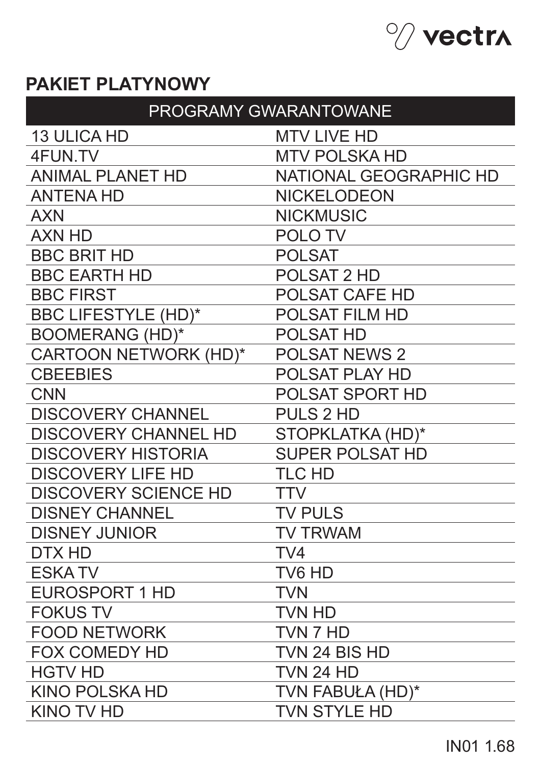

## **PAKIET PLATYNOWY**

| <b>PROGRAMY GWARANTOWANE</b> |                               |
|------------------------------|-------------------------------|
| <b>13 ULICA HD</b>           | <b>MTV LIVE HD</b>            |
| 4FUN.TV                      | <b>MTV POLSKA HD</b>          |
| <b>ANIMAL PLANET HD</b>      | <b>NATIONAL GEOGRAPHIC HD</b> |
| <b>ANTENA HD</b>             | <b>NICKELODEON</b>            |
| <b>AXN</b>                   | <b>NICKMUSIC</b>              |
| <b>AXN HD</b>                | <b>POLOTV</b>                 |
| <b>BBC BRIT HD</b>           | <b>POLSAT</b>                 |
| <b>BBC EARTH HD</b>          | <b>POLSAT 2 HD</b>            |
| <b>BBC FIRST</b>             | <b>POLSAT CAFE HD</b>         |
| <b>BBC LIFESTYLE (HD)*</b>   | <b>POLSAT FILM HD</b>         |
| <b>BOOMERANG (HD)*</b>       | <b>POLSAT HD</b>              |
| CARTOON NETWORK (HD)*        | <b>POLSAT NEWS 2</b>          |
| <b>CBEEBIES</b>              | <b>POLSAT PLAY HD</b>         |
| <b>CNN</b>                   | <b>POLSAT SPORT HD</b>        |
| <b>DISCOVERY CHANNEL</b>     | <b>PULS 2 HD</b>              |
| <b>DISCOVERY CHANNEL HD</b>  | STOPKLATKA (HD)*              |
| <b>DISCOVERY HISTORIA</b>    | <b>SUPER POLSAT HD</b>        |
| <b>DISCOVERY LIFE HD</b>     | <b>TLC HD</b>                 |
| <b>DISCOVERY SCIENCE HD</b>  | TTV                           |
| <b>DISNEY CHANNEL</b>        | <b>TV PULS</b>                |
| <b>DISNEY JUNIOR</b>         | <b>TV TRWAM</b>               |
| DTX HD                       | TV4                           |
| <b>ESKATV</b>                | TV6 HD                        |
| <b>EUROSPORT 1 HD</b>        | <b>TVN</b>                    |
| <b>FOKUS TV</b>              | <b>TVN HD</b>                 |
| <b>FOOD NETWORK</b>          | TVN 7 HD                      |
| <b>FOX COMEDY HD</b>         | TVN 24 BIS HD                 |
| <b>HGTV HD</b>               | <b>TVN 24 HD</b>              |
| <b>KINO POLSKA HD</b>        | TVN FABUŁA (HD)*              |
| <b>KINO TV HD</b>            | <b>TVN STYLE HD</b>           |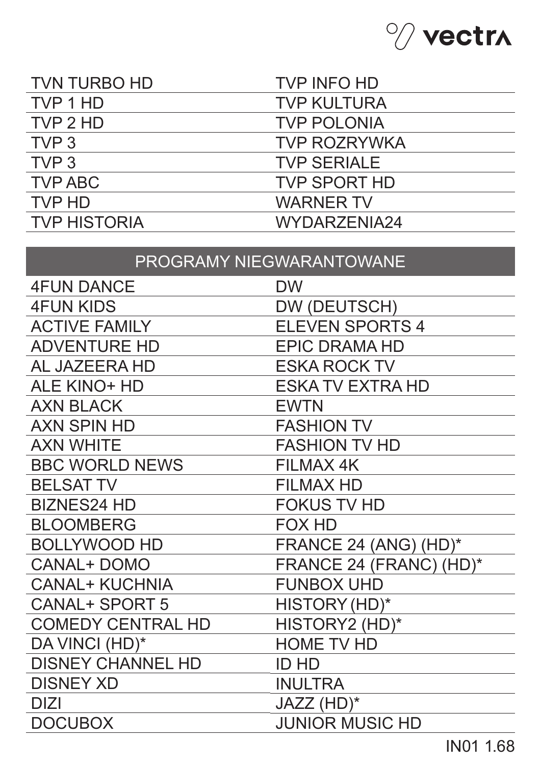

| <b>TVN TURBO HD</b> | <b>TVP INFO HD</b>  |
|---------------------|---------------------|
| TVP 1 HD            | <b>TVP KULTURA</b>  |
| TVP 2 HD            | <b>TVP POLONIA</b>  |
| TVP <sub>3</sub>    | <b>TVP ROZRYWKA</b> |
| TVP <sub>3</sub>    | <b>TVP SERIALE</b>  |
| <b>TVP ABC</b>      | <b>TVP SPORT HD</b> |
| TVP HD              | <b>WARNER TV</b>    |
| <b>TVP HISTORIA</b> | WYDARZENIA24        |

# PROGRAMY NIEGWARANTOWANE

| <b>4FUN DANCE</b>        | <b>DW</b>               |
|--------------------------|-------------------------|
| <b>4FUN KIDS</b>         | DW (DEUTSCH)            |
| <b>ACTIVE FAMILY</b>     | <b>ELEVEN SPORTS 4</b>  |
| <b>ADVENTURE HD</b>      | <b>EPIC DRAMA HD</b>    |
| <b>AL JAZEERA HD</b>     | <b>ESKA ROCK TV</b>     |
| <b>ALE KINO+ HD</b>      | <b>ESKA TV EXTRA HD</b> |
| <b>AXN BLACK</b>         | <b>EWTN</b>             |
| <b>AXN SPIN HD</b>       | <b>FASHION TV</b>       |
| <b>AXN WHITE</b>         | <b>FASHION TV HD</b>    |
| <b>BBC WORLD NEWS</b>    | <b>FILMAX 4K</b>        |
| <b>BELSAT TV</b>         | <b>FILMAX HD</b>        |
| <b>BIZNES24 HD</b>       | <b>FOKUS TV HD</b>      |
| <b>BLOOMBERG</b>         | <b>FOX HD</b>           |
| <b>BOLLYWOOD HD</b>      | FRANCE 24 (ANG) (HD)*   |
| <b>CANAL+ DOMO</b>       | FRANCE 24 (FRANC) (HD)* |
| <b>CANAL+ KUCHNIA</b>    | <b>FUNBOX UHD</b>       |
| <b>CANAL+ SPORT 5</b>    | HISTORY (HD)*           |
| <b>COMEDY CENTRAL HD</b> | HISTORY2 (HD)*          |
| DA VINCI (HD)*           | <b>HOME TV HD</b>       |
| <b>DISNEY CHANNEL HD</b> | <b>ID HD</b>            |
| <b>DISNEY XD</b>         | <b>INULTRA</b>          |
| <b>DIZI</b>              | JAZZ (HD)*              |
| <b>DOCUBOX</b>           | <b>JUNIOR MUSIC HD</b>  |
|                          |                         |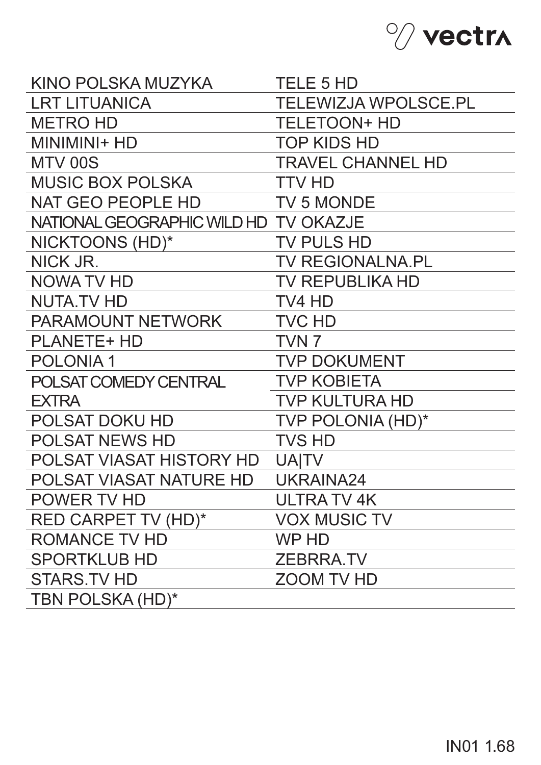

| KINO POLSKA MUZYKA                    | <b>TELE 5 HD</b>            |
|---------------------------------------|-----------------------------|
| <b>LRT LITUANICA</b>                  | <b>TELEWIZJA WPOLSCE.PL</b> |
| <b>METRO HD</b>                       | <b>TELETOON+ HD</b>         |
| MINIMINI+ HD                          | <b>TOP KIDS HD</b>          |
| MTV 00S                               | <b>TRAVEL CHANNEL HD</b>    |
| <b>MUSIC BOX POLSKA</b>               | <b>TTV HD</b>               |
| NAT GEO PEOPLE HD                     | <b>TV 5 MONDE</b>           |
| NATIONAL GEOGRAPHIC WILD HD TV OKAZJE |                             |
| NICKTOONS (HD)*                       | <b>TV PULS HD</b>           |
| NICK JR.                              | <b>TV REGIONALNA.PL</b>     |
| NOWA TV HD                            | TV REPUBLIKA HD             |
| <b>NUTA.TV HD</b>                     | TV4 HD                      |
| <b>PARAMOUNT NETWORK</b>              | <b>TVC HD</b>               |
| <b>PLANETE+ HD</b>                    | TVN <sub>7</sub>            |
| <b>POLONIA1</b>                       | <b>TVP DOKUMENT</b>         |
| POLSAT COMEDY CENTRAL                 | <b>TVP KOBIETA</b>          |
| <b>EXTRA</b>                          | <b>TVP KULTURA HD</b>       |
| POLSAT DOKU HD                        | TVP POLONIA (HD)*           |
| <b>POLSAT NEWS HD</b>                 | <b>TVS HD</b>               |
| POLSAT VIASAT HISTORY HD              | <b>UAITV</b>                |
| POLSAT VIASAT NATURE HD               | UKRAINA24                   |
| POWER TV HD                           | <b>ULTRA TV 4K</b>          |
| RED CARPET TV (HD)*                   | <b>VOX MUSIC TV</b>         |
| <b>ROMANCE TV HD</b>                  | WP HD                       |
| <b>SPORTKLUB HD</b>                   | <b>ZEBRRA.TV</b>            |
| <b>STARS.TV HD</b>                    | <b>ZOOM TV HD</b>           |
| TBN POLSKA (HD)*                      |                             |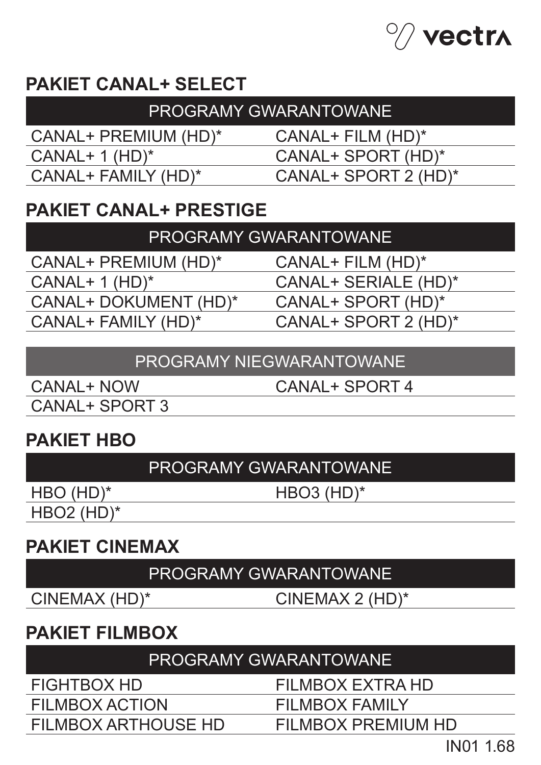

# **PAKIET CANAL+ SELECT**

| I PROGRAMY GWARANTOWANE' |                      |  |
|--------------------------|----------------------|--|
| CANAL+ PREMIUM (HD)*     | $CANAL+ FILM (HD)^*$ |  |
| $CANAL+ 1 (HD)^*$        | CANAL+ SPORT (HD)*   |  |
| CANAL+ FAMILY (HD)*      | CANAL+ SPORT 2 (HD)* |  |
|                          |                      |  |

### **PAKIET CANAL+ PRESTIGE**

CANAL+ PREMIUM (HD)\* CANAL+ 1 (HD)\* CANAL+ DOKUMENT (HD)\* CANAL+ FAMILY (HD)\*

CANAL+ FILM (HD)\*

CANAL+ SERIALE (HD)\*

CANAL+ SPORT (HD)\*

CANAL+ SPORT 2 (HD)\*

#### PROGRAMY NIEGWARANTOWANE

CANAL+ NOW CANAL+ SPORT 3 CANAL+ SPORT 4

### **PAKIET HBO**

### PROGRAMY GWARANTOWANE

HBO (HD)\*

HBO3 (HD)\*

HBO2 (HD)\*

### **PAKIET CINEMAX**

### PROGRAMY GWARANTOWANE

CINEMAX (HD)\* CINEMAX 2 (HD)\*

### **PAKIET FILMBOX**

#### PROGRAMY GWARANTOWANE

FIGHTBOX HD

FILMBOX ACTION

FILMBOX ARTHOUSE HD

FILMBOX EXTRA HD

FILMBOX FAMILY

FILMBOX PREMIUM HD

IN01 1.68